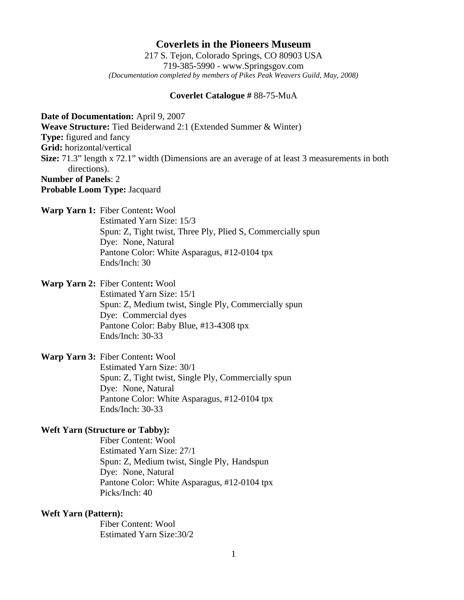# **Coverlets in the Pioneers Museum**

217 S. Tejon, Colorado Springs, CO 80903 USA 719-385-5990 - www.Springsgov.com *(Documentation completed by members of Pikes Peak Weavers Guild, May, 2008)* 

#### **Coverlet Catalogue #** 88-75-MuA

**Date of Documentation:** April 9, 2007 **Weave Structure:** Tied Beiderwand 2:1 (Extended Summer & Winter) **Type:** figured and fancy **Grid:** horizontal/vertical **Size:** 71.3" length x 72.1" width (Dimensions are an average of at least 3 measurements in both directions). **Number of Panels**: 2

**Probable Loom Type:** Jacquard

**Warp Yarn 1:** Fiber Content**:** Wool

 Estimated Yarn Size: 15/3 Spun: Z, Tight twist, Three Ply, Plied S, Commercially spun Dye: None, Natural Pantone Color: White Asparagus, #12-0104 tpx Ends/Inch: 30

**Warp Yarn 2:** Fiber Content**:** Wool

 Estimated Yarn Size: 15/1 Spun: Z, Medium twist, Single Ply, Commercially spun Dye: Commercial dyes Pantone Color: Baby Blue, #13-4308 tpx Ends/Inch: 30-33

**Warp Yarn 3:** Fiber Content**:** Wool

 Estimated Yarn Size: 30/1 Spun: Z, Tight twist, Single Ply, Commercially spun Dye: None, Natural Pantone Color: White Asparagus, #12-0104 tpx Ends/Inch: 30-33

### **Weft Yarn (Structure or Tabby):**

 Fiber Content: Wool Estimated Yarn Size: 27/1 Spun: Z, Medium twist, Single Ply, Handspun Dye: None, Natural Pantone Color: White Asparagus, #12-0104 tpx Picks/Inch: 40

# **Weft Yarn (Pattern):**

 Fiber Content: Wool Estimated Yarn Size: 30/2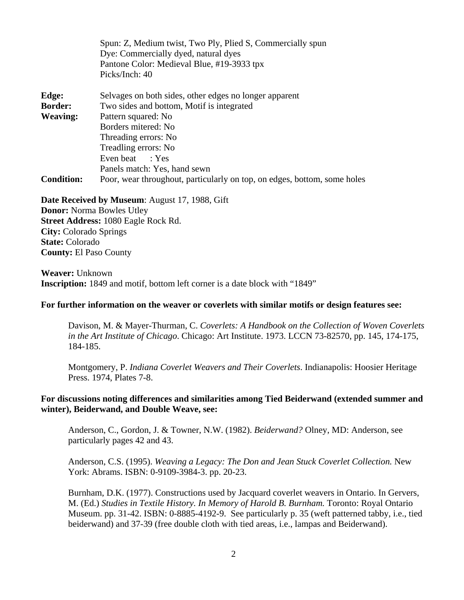|                   | Spun: Z, Medium twist, Two Ply, Plied S, Commercially spun               |
|-------------------|--------------------------------------------------------------------------|
|                   | Dye: Commercially dyed, natural dyes                                     |
|                   | Pantone Color: Medieval Blue, #19-3933 tpx                               |
|                   | Picks/Inch: 40                                                           |
| Edge:             | Selvages on both sides, other edges no longer apparent                   |
| <b>Border:</b>    | Two sides and bottom, Motif is integrated                                |
| <b>Weaving:</b>   | Pattern squared: No                                                      |
|                   | Borders mitered: No                                                      |
|                   | Threading errors: No                                                     |
|                   | Treadling errors: No                                                     |
|                   | Even beat : Yes                                                          |
|                   | Panels match: Yes, hand sewn                                             |
| <b>Condition:</b> | Poor, wear throughout, particularly on top, on edges, bottom, some holes |

#### **Date Received by Museum**: August 17, 1988, Gift

**Donor:** Norma Bowles Utley **Street Address:** 1080 Eagle Rock Rd. **City:** Colorado Springs **State:** Colorado **County:** El Paso County

**Weaver:** Unknown **Inscription:** 1849 and motif, bottom left corner is a date block with "1849"

#### **For further information on the weaver or coverlets with similar motifs or design features see:**

 Davison, M. & Mayer-Thurman, C. *Coverlets: A Handbook on the Collection of Woven Coverlets in the Art Institute of Chicago*. Chicago: Art Institute. 1973. LCCN 73-82570, pp. 145, 174-175, 184-185.

 Montgomery, P. *Indiana Coverlet Weavers and Their Coverlets*. Indianapolis: Hoosier Heritage Press. 1974, Plates 7-8.

# **For discussions noting differences and similarities among Tied Beiderwand (extended summer and winter), Beiderwand, and Double Weave, see:**

 Anderson, C., Gordon, J. & Towner, N.W. (1982). *Beiderwand?* Olney, MD: Anderson, see particularly pages 42 and 43.

 Anderson, C.S. (1995). *Weaving a Legacy: The Don and Jean Stuck Coverlet Collection.* New York: Abrams. ISBN: 0-9109-3984-3. pp. 20-23.

 Burnham, D.K. (1977). Constructions used by Jacquard coverlet weavers in Ontario. In Gervers, M. (Ed.) *Studies in Textile History. In Memory of Harold B. Burnham.* Toronto: Royal Ontario Museum. pp. 31-42. ISBN: 0-8885-4192-9. See particularly p. 35 (weft patterned tabby, i.e., tied beiderwand) and 37-39 (free double cloth with tied areas, i.e., lampas and Beiderwand).